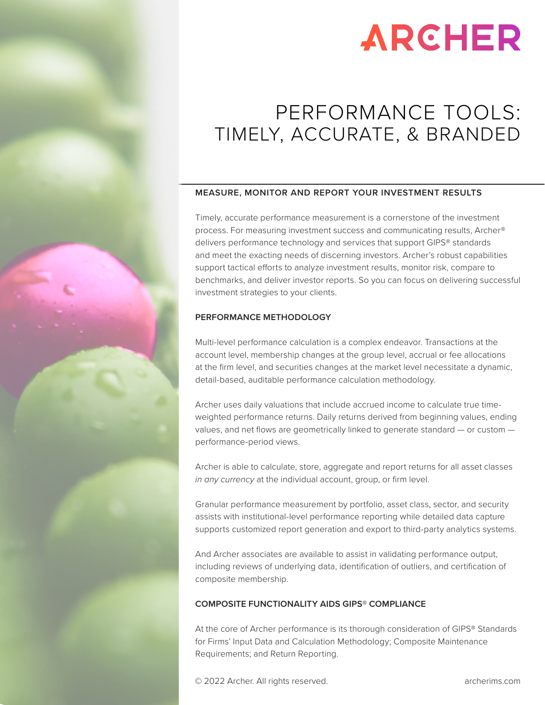# **ARCHER**

## PERFORMANCE TOOLS: TIMELY, ACCURATE, & BRANDED

#### **MEASURE, MONITOR AND REPORT YOUR INVESTMENT RESULTS**

Timely, accurate performance measurement is a cornerstone of the investment process. For measuring investment success and communicating results, Archer® delivers performance technology and services that support GIPS® standards and meet the exacting needs of discerning investors. Archer's robust capabilities support tactical efforts to analyze investment results, monitor risk, compare to benchmarks, and deliver investor reports. So you can focus on delivering successful investment strategies to your clients.

#### **PERFORMANCE METHODOLOGY**

Multi-level performance calculation is a complex endeavor. Transactions at the account level, membership changes at the group level, accrual or fee allocations at the firm level, and securities changes at the market level necessitate a dynamic, detail-based, auditable performance calculation methodology.

Archer uses daily valuations that include accrued income to calculate true timeweighted performance returns. Daily returns derived from beginning values, ending values, and net flows are geometrically linked to generate standard — or custom performance-period views.

Archer is able to calculate, store, aggregate and report returns for all asset classes *in any currency* at the individual account, group, or firm level.

Granular performance measurement by portfolio, asset class, sector, and security assists with institutional-level performance reporting while detailed data capture supports customized report generation and export to third-party analytics systems.

And Archer associates are available to assist in validating performance output, including reviews of underlying data, identification of outliers, and certification of composite membership.

#### **COMPOSITE FUNCTIONALITY AIDS GIPS® COMPLIANCE**

At the core of Archer performance is its thorough consideration of GIPS® Standards for Firms' Input Data and Calculation Methodology; Composite Maintenance Requirements; and Return Reporting.

© 2022 Archer. All rights reserved. [archerims.com](https://www.archerims.com/) archerims.com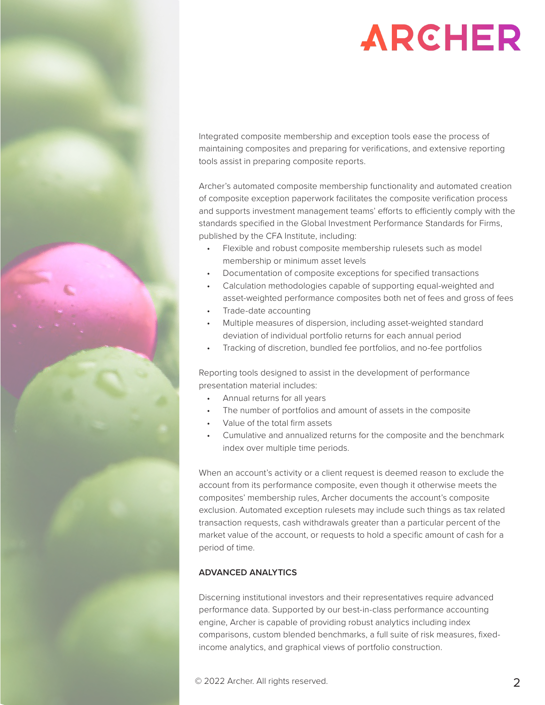

Integrated composite membership and exception tools ease the process of maintaining composites and preparing for verifications, and extensive reporting tools assist in preparing composite reports.

Archer's automated composite membership functionality and automated creation of composite exception paperwork facilitates the composite verification process and supports investment management teams' efforts to efficiently comply with the standards specified in the Global Investment Performance Standards for Firms, published by the CFA Institute, including:

- Flexible and robust composite membership rulesets such as model membership or minimum asset levels
- Documentation of composite exceptions for specified transactions
- Calculation methodologies capable of supporting equal-weighted and asset-weighted performance composites both net of fees and gross of fees
- Trade-date accounting
- Multiple measures of dispersion, including asset-weighted standard deviation of individual portfolio returns for each annual period
- Tracking of discretion, bundled fee portfolios, and no-fee portfolios

Reporting tools designed to assist in the development of performance presentation material includes:

- Annual returns for all years
- The number of portfolios and amount of assets in the composite
- Value of the total firm assets
- Cumulative and annualized returns for the composite and the benchmark index over multiple time periods.

When an account's activity or a client request is deemed reason to exclude the account from its performance composite, even though it otherwise meets the composites' membership rules, Archer documents the account's composite exclusion. Automated exception rulesets may include such things as tax related transaction requests, cash withdrawals greater than a particular percent of the market value of the account, or requests to hold a specific amount of cash for a period of time.

### **ADVANCED ANALYTICS**

Discerning institutional investors and their representatives require advanced performance data. Supported by our best-in-class performance accounting engine, Archer is capable of providing robust analytics including index comparisons, custom blended benchmarks, a full suite of risk measures, fixedincome analytics, and graphical views of portfolio construction.